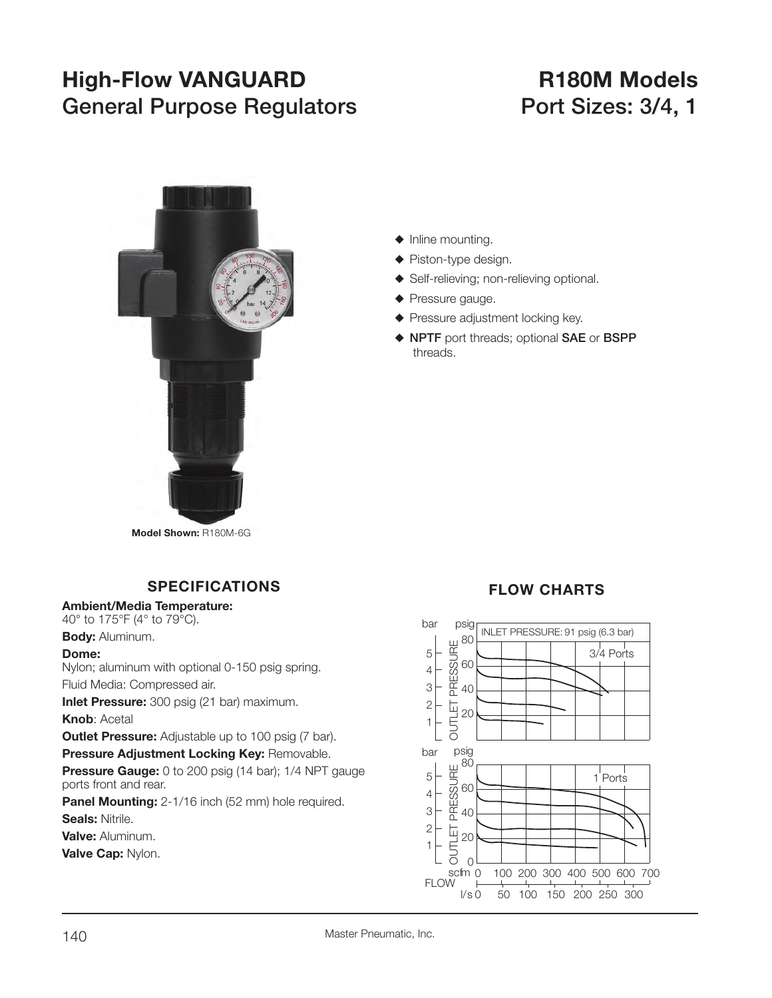# **High-Flow VANGUARD R180M Models** General Purpose Regulators **Port Sizes: 3/4, 1**



#### $\blacklozenge$  Inline mounting.

- $\blacklozenge$  Piston-type design.
- ◆ Self-relieving; non-relieving optional.
- $\blacklozenge$  Pressure gauge.
- $\blacklozenge$  Pressure adjustment locking key.
- S **NPTF** port threads; optional **SAE** or **BSPP** threads.

**Model Shown:** R180M-6G

# **SPECIFICATIONS**

#### **Ambient/Media Temperature:**

40° to 175°F (4° to 79°C).

**Body:** Aluminum.

#### **Dome:**

Nylon; aluminum with optional 0-150 psig spring. Fluid Media: Compressed air.

**Inlet Pressure:** 300 psig (21 bar) maximum.

**Knob**: Acetal

**Outlet Pressure:** Adjustable up to 100 psig (7 bar).

**Pressure Adjustment Locking Key:** Removable.

**Pressure Gauge:** 0 to 200 psig (14 bar); 1/4 NPT gauge ports front and rear.

**Panel Mounting:** 2-1/16 inch (52 mm) hole required. **Seals:** Nitrile.

**Valve:** Aluminum.

**Valve Cap:** Nylon.

# **FLOW CHARTS**